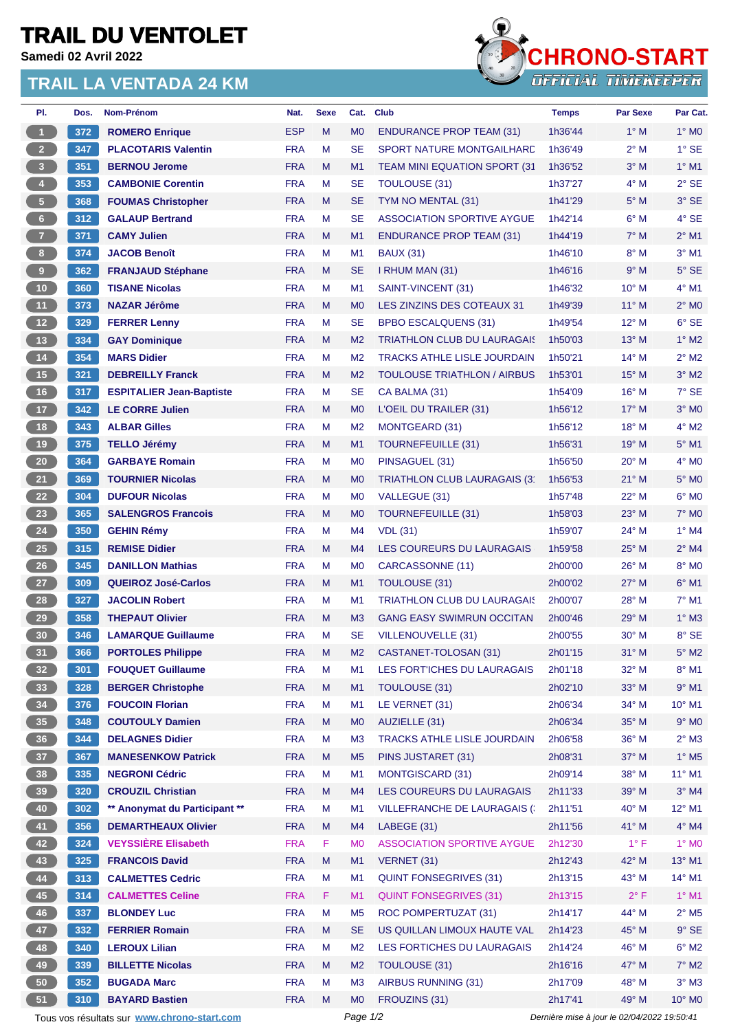## **TRAIL DU VENTOLET**

**Samedi 02 Avril 2022**

## **TRAIL LA VENTADA 24 KM**



| PI.                                                                                                    | Dos. | Nom-Prénom                      | Nat.       | <b>Sexe</b> | Cat.           | <b>Club</b>                         | <b>Temps</b> | <b>Par Sexe</b> | Par Cat.                   |
|--------------------------------------------------------------------------------------------------------|------|---------------------------------|------------|-------------|----------------|-------------------------------------|--------------|-----------------|----------------------------|
| $\overline{1}$                                                                                         | 372  | <b>ROMERO Enrique</b>           | <b>ESP</b> | M           | M <sub>0</sub> | <b>ENDURANCE PROP TEAM (31)</b>     | 1h36'44      | $1^\circ$ M     | $1^\circ$ MO               |
| $2 -$                                                                                                  | 347  | <b>PLACOTARIS Valentin</b>      | <b>FRA</b> | M           | <b>SE</b>      | SPORT NATURE MONTGAILHARD           | 1h36'49      | $2^{\circ}$ M   | $1^{\circ}$ SE             |
| $\overline{\mathbf{3}}$                                                                                | 351  | <b>BERNOU Jerome</b>            | <b>FRA</b> | M           | M1             | TEAM MINI EQUATION SPORT (31        | 1h36'52      | $3^\circ$ M     | $1^\circ$ M1               |
| $\overline{4}$                                                                                         | 353  | <b>CAMBONIE Corentin</b>        | <b>FRA</b> | M           | <b>SE</b>      | <b>TOULOUSE (31)</b>                | 1h37'27      | $4^\circ$ M     | $2°$ SE                    |
| 5 <sup>2</sup>                                                                                         | 368  | <b>FOUMAS Christopher</b>       | <b>FRA</b> | M           | <b>SE</b>      | TYM NO MENTAL (31)                  | 1h41'29      | $5^\circ$ M     | $3°$ SE                    |
| 6 <sup>1</sup>                                                                                         | 312  | <b>GALAUP Bertrand</b>          | <b>FRA</b> | M           | <b>SE</b>      | <b>ASSOCIATION SPORTIVE AYGUE</b>   | 1h42'14      | $6^\circ$ M     | 4° SE                      |
| 7 <sup>2</sup>                                                                                         | 371  | <b>CAMY Julien</b>              | <b>FRA</b> | M           | M1             | <b>ENDURANCE PROP TEAM (31)</b>     | 1h44'19      | $7^\circ$ M     | $2^{\circ}$ M1             |
| 8 <sup>1</sup>                                                                                         | 374  | <b>JACOB Benoît</b>             | <b>FRA</b> | M           | M <sub>1</sub> | <b>BAUX (31)</b>                    | 1h46'10      | $8^\circ$ M     | $3°$ M1                    |
| 9 <sub>1</sub>                                                                                         | 362  | <b>FRANJAUD Stéphane</b>        | <b>FRA</b> | M           | <b>SE</b>      | I RHUM MAN (31)                     | 1h46'16      | 9° M            | $5^\circ$ SE               |
| 10 <sub>1</sub>                                                                                        | 360  | <b>TISANE Nicolas</b>           | <b>FRA</b> | M           | M <sub>1</sub> | SAINT-VINCENT (31)                  | 1h46'32      | 10° M           | $4^{\circ}$ M1             |
| 11 <sub>1</sub>                                                                                        | 373  | <b>NAZAR Jérôme</b>             | <b>FRA</b> | M           | M <sub>0</sub> | LES ZINZINS DES COTEAUX 31          | 1h49'39      | $11^{\circ}$ M  | $2^{\circ}$ MO             |
| 12 <sup>7</sup>                                                                                        | 329  | <b>FERRER Lenny</b>             | <b>FRA</b> | M           | <b>SE</b>      | <b>BPBO ESCALQUENS (31)</b>         | 1h49'54      | 12° M           | $6°$ SE                    |
| 13                                                                                                     | 334  | <b>GAY Dominique</b>            | <b>FRA</b> | M           | M <sub>2</sub> | <b>TRIATHLON CLUB DU LAURAGAIS</b>  | 1h50'03      | $13^{\circ}$ M  | $1^\circ$ M2               |
| 14                                                                                                     | 354  | <b>MARS Didier</b>              | <b>FRA</b> | м           | M <sub>2</sub> | <b>TRACKS ATHLE LISLE JOURDAIN</b>  | 1h50'21      | $14^{\circ}$ M  | $2^{\circ}$ M2             |
| 15                                                                                                     | 321  | <b>DEBREILLY Franck</b>         | <b>FRA</b> | M           | M <sub>2</sub> | <b>TOULOUSE TRIATHLON / AIRBUS</b>  | 1h53'01      | $15^{\circ}$ M  | $3°$ M2                    |
| 16                                                                                                     | 317  | <b>ESPITALIER Jean-Baptiste</b> | <b>FRA</b> | м           | <b>SE</b>      | CA BALMA (31)                       | 1h54'09      | $16^{\circ}$ M  | $7^\circ$ SE               |
| 17 <sup>2</sup>                                                                                        | 342  | <b>LE CORRE Julien</b>          | <b>FRA</b> | M           | M <sub>0</sub> | L'OEIL DU TRAILER (31)              | 1h56'12      | 17° M           | $3°$ MO                    |
| 18                                                                                                     | 343  | <b>ALBAR Gilles</b>             | <b>FRA</b> | M           | M <sub>2</sub> | <b>MONTGEARD (31)</b>               | 1h56'12      | $18^{\circ}$ M  | $4^\circ$ M2               |
| 19                                                                                                     | 375  | <b>TELLO Jérémy</b>             | <b>FRA</b> | M           | M1             | <b>TOURNEFEUILLE (31)</b>           | 1h56'31      | $19°$ M         | $5^\circ$ M1               |
| 20 <sub>2</sub>                                                                                        | 364  | <b>GARBAYE Romain</b>           | <b>FRA</b> | M           | M <sub>0</sub> | PINSAGUEL (31)                      | 1h56'50      | $20^{\circ}$ M  | $4^\circ$ MO               |
| 21                                                                                                     | 369  | <b>TOURNIER Nicolas</b>         | <b>FRA</b> | M           | M <sub>0</sub> | TRIATHLON CLUB LAURAGAIS (3)        | 1h56'53      | $21^{\circ}$ M  | $5^\circ$ MO               |
| 22                                                                                                     | 304  | <b>DUFOUR Nicolas</b>           | <b>FRA</b> | M           | M <sub>0</sub> | VALLEGUE (31)                       | 1h57'48      | $22^{\circ}$ M  | $6^\circ$ MO               |
| 23                                                                                                     | 365  | <b>SALENGROS Francois</b>       | <b>FRA</b> | M           | M <sub>0</sub> | <b>TOURNEFEUILLE (31)</b>           | 1h58'03      | $23^\circ$ M    | $7^\circ$ MO               |
| 24                                                                                                     | 350  | <b>GEHIN Rémy</b>               | <b>FRA</b> | M           | M4             | <b>VDL</b> (31)                     | 1h59'07      | 24° M           | $1^\circ$ M4               |
| 25                                                                                                     | 315  | <b>REMISE Didier</b>            | <b>FRA</b> | M           | M <sub>4</sub> | LES COUREURS DU LAURAGAIS           | 1h59'58      | $25^{\circ}$ M  | $2^{\circ}$ M4             |
| 26                                                                                                     | 345  | <b>DANILLON Mathias</b>         | <b>FRA</b> | M           | M <sub>0</sub> | CARCASSONNE (11)                    | 2h00'00      | 26° M           | 8° MO                      |
| 27                                                                                                     | 309  | <b>QUEIROZ José-Carlos</b>      | <b>FRA</b> | M           | M1             | <b>TOULOUSE (31)</b>                | 2h00'02      | $27^\circ$ M    | $6^{\circ}$ M1             |
| 28                                                                                                     | 327  | <b>JACOLIN Robert</b>           | <b>FRA</b> | M           | M <sub>1</sub> | <b>TRIATHLON CLUB DU LAURAGAIS</b>  | 2h00'07      | 28° M           | $7°$ M1                    |
| 29                                                                                                     | 358  | <b>THEPAUT Olivier</b>          | <b>FRA</b> | M           | M <sub>3</sub> | <b>GANG EASY SWIMRUN OCCITAN</b>    | 2h00'46      | $29°$ M         | $1^\circ$ M3               |
| 30                                                                                                     | 346  | <b>LAMARQUE Guillaume</b>       | <b>FRA</b> | M           | <b>SE</b>      | <b>VILLENOUVELLE (31)</b>           | 2h00'55      | $30^\circ$ M    | 8° SE                      |
| 31)                                                                                                    | 366  | <b>PORTOLES Philippe</b>        | <b>FRA</b> | M           | M <sub>2</sub> | CASTANET-TOLOSAN (31)               | 2h01'15      | $31^\circ$ M    | $5^\circ$ M2               |
| 32 <sub>2</sub>                                                                                        | 301  | <b>FOUQUET Guillaume</b>        | <b>FRA</b> | M           | M1             | LES FORT'ICHES DU LAURAGAIS         | 2h01'18      | 32° M           | $8^\circ$ M1               |
| 33 <sup>°</sup>                                                                                        | 328  | <b>BERGER Christophe</b>        | <b>FRA</b> | M           | M1             | <b>TOULOUSE (31)</b>                | 2h02'10      | 33° M           | $9°$ M1                    |
| 34                                                                                                     | 376  | <b>FOUCOIN Florian</b>          | <b>FRA</b> | M           | M <sub>1</sub> | LE VERNET (31)                      | 2h06'34      | 34° M           | 10° M1                     |
| 35 <sub>1</sub>                                                                                        | 348  | <b>COUTOULY Damien</b>          | <b>FRA</b> | M           | M <sub>0</sub> | AUZIELLE (31)                       | 2h06'34      | 35° M           | $9°$ MO                    |
| 36 <sup>°</sup>                                                                                        | 344  | <b>DELAGNES Didier</b>          | <b>FRA</b> | М           | M <sub>3</sub> | TRACKS ATHLE LISLE JOURDAIN         | 2h06'58      | 36° M           | $2^{\circ}$ M3             |
| 37 <sub>2</sub>                                                                                        | 367  | <b>MANESENKOW Patrick</b>       | <b>FRA</b> | M           | M <sub>5</sub> | PINS JUSTARET (31)                  | 2h08'31      | 37° M           | $1^\circ$ M <sub>5</sub>   |
| 38                                                                                                     | 335  | <b>NEGRONI Cédric</b>           | <b>FRA</b> | M           | M <sub>1</sub> | <b>MONTGISCARD (31)</b>             | 2h09'14      | 38° M           | $11^{\circ}$ M1            |
| 39 <sup>°</sup>                                                                                        | 320  | <b>CROUZIL Christian</b>        | <b>FRA</b> | M           | M <sub>4</sub> | LES COUREURS DU LAURAGAIS           | 2h11'33      | 39° M           | $3°$ M4                    |
| 40                                                                                                     | 302  | ** Anonymat du Participant **   | <b>FRA</b> | M           | M <sub>1</sub> | <b>VILLEFRANCHE DE LAURAGAIS (:</b> | 2h11'51      | $40^{\circ}$ M  | $12^{\circ}$ M1            |
| 41                                                                                                     | 356  | <b>DEMARTHEAUX Olivier</b>      | <b>FRA</b> | M           | M4             | LABEGE (31)                         | 2h11'56      | 41° M           | $4^\circ$ M4               |
| 42                                                                                                     | 324  | <b>VEYSSIÈRE Elisabeth</b>      | <b>FRA</b> | F.          | M <sub>0</sub> | <b>ASSOCIATION SPORTIVE AYGUE</b>   | 2h12'30      | $1^{\circ}$ F   | $1^\circ$ MO               |
| 43                                                                                                     | 325  | <b>FRANCOIS David</b>           | <b>FRA</b> | M           | M1             | VERNET (31)                         | 2h12'43      | 42° M           | $13^{\circ}$ M1            |
| 44                                                                                                     | 313  | <b>CALMETTES Cedric</b>         | <b>FRA</b> | M           | M <sub>1</sub> | <b>QUINT FONSEGRIVES (31)</b>       | 2h13'15      | 43° M           | $14^{\circ}$ M1            |
| 45                                                                                                     | 314  | <b>CALMETTES Celine</b>         | <b>FRA</b> | F.          | M1             | <b>QUINT FONSEGRIVES (31)</b>       | 2h13'15      | $2^{\circ}$ F   | $1^\circ$ M1               |
| 46                                                                                                     | 337  | <b>BLONDEY Luc</b>              | <b>FRA</b> | M           | M5             | ROC POMPERTUZAT (31)                | 2h14'17      | 44° M           | $2^{\circ}$ M <sub>5</sub> |
|                                                                                                        |      |                                 | <b>FRA</b> | M           | <b>SE</b>      | US QUILLAN LIMOUX HAUTE VAL         |              | 45° M           | $9°$ SE                    |
| 47                                                                                                     | 332  | <b>FERRIER Romain</b>           |            |             |                |                                     | 2h14'23      |                 |                            |
| 48                                                                                                     | 340  | <b>LEROUX Lilian</b>            | <b>FRA</b> | M           | M <sub>2</sub> | LES FORTICHES DU LAURAGAIS          | 2h14'24      | 46° M           | $6^\circ$ M2               |
| 49                                                                                                     | 339  | <b>BILLETTE Nicolas</b>         | <b>FRA</b> | M           | M <sub>2</sub> | <b>TOULOUSE (31)</b>                | 2h16'16      | 47° M           | $7^\circ$ M2               |
| 50                                                                                                     | 352  | <b>BUGADA Marc</b>              | <b>FRA</b> | M           | M <sub>3</sub> | <b>AIRBUS RUNNING (31)</b>          | 2h17'09      | 48° M           | $3^\circ$ M3               |
| 51                                                                                                     | 310  | <b>BAYARD Bastien</b>           | <b>FRA</b> | M           | M <sub>0</sub> | FROUZINS (31)                       | 2h17'41      | 49° M           | $10^{\circ}$ MO            |
| Page 1/2<br>Dernière mise à jour le 02/04/2022 19:50:41<br>Tous vos résultats sur www.chrono-start.com |      |                                 |            |             |                |                                     |              |                 |                            |